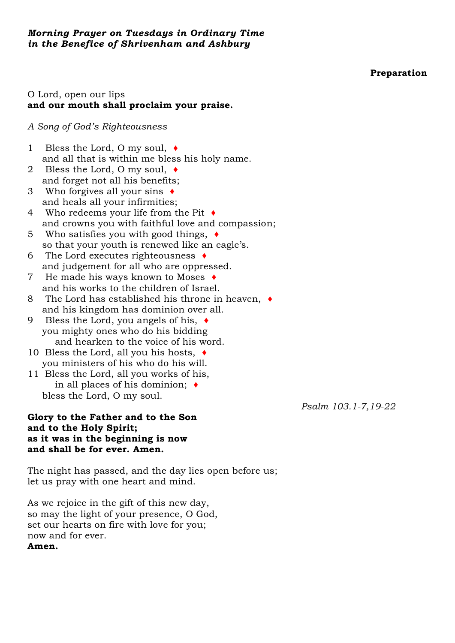### **Preparation**

## O Lord, open our lips **and our mouth shall proclaim your praise.**

#### *A Song of God's Righteousness*

- 1 Bless the Lord, O my soul, ♦ and all that is within me bless his holy name.
- 2 Bless the Lord, O my soul,  $\triangleleft$ and forget not all his benefits;
- 3 Who forgives all your sins ♦ and heals all your infirmities;
- 4 Who redeems your life from the Pit ♦ and crowns you with faithful love and compassion;
- 5 Who satisfies you with good things, ♦ so that your youth is renewed like an eagle's.
- 6 The Lord executes righteousness ♦ and judgement for all who are oppressed.
- 7 He made his ways known to Moses ♦ and his works to the children of Israel.
- 8 The Lord has established his throne in heaven, ♦ and his kingdom has dominion over all.
- 9 Bless the Lord, you angels of his, ♦ you mighty ones who do his bidding and hearken to the voice of his word.
- 10 Bless the Lord, all you his hosts,  $\triangleleft$ you ministers of his who do his will.
- 11 Bless the Lord, all you works of his, in all places of his dominion; ♦ bless the Lord, O my soul.

### **Glory to the Father and to the Son and to the Holy Spirit; as it was in the beginning is now and shall be for ever. Amen.**

The night has passed, and the day lies open before us; let us pray with one heart and mind.

As we rejoice in the gift of this new day, so may the light of your presence, O God, set our hearts on fire with love for you; now and for ever. **Amen.**

*Psalm 103.1-7,19-22*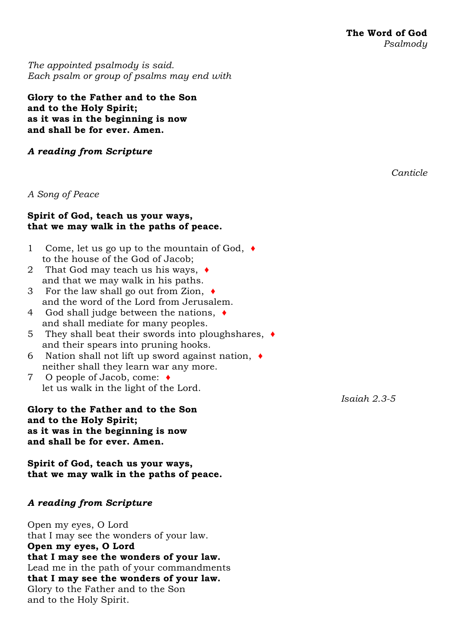*The appointed [psalmody](https://www.churchofengland.org/common-material/psalter#mm13a) is said. Each psalm or group of psalms may end with*

### **Glory to the Father and to the Son and to the Holy Spirit; as it was in the beginning is now and shall be for ever. Amen.**

### *A reading from Scripture*

### *A Song of Peace*

### **Spirit of God, teach us your ways, that we may walk in the paths of peace.**

- 1 Come, let us go up to the mountain of God, ♦ to the house of the God of Jacob;
- 2 That God may teach us his ways, ♦ and that we may walk in his paths.
- 3 For the law shall go out from Zion, ♦ and the word of the Lord from Jerusalem.
- 4 God shall judge between the nations, ♦ and shall mediate for many peoples.
- 5 They shall beat their swords into ploughshares, ♦ and their spears into pruning hooks.
- 6 Nation shall not lift up sword against nation, ♦ neither shall they learn war any more.
- 7 O people of Jacob, come: ♦ let us walk in the light of the Lord.

**Glory to the Father and to the Son and to the Holy Spirit; as it was in the beginning is now and shall be for ever. Amen.**

**Spirit of God, teach us your ways, that we may walk in the paths of peace.**

# *A reading from Scripture*

Open my eyes, O Lord that I may see the wonders of your law. **Open my eyes, O Lord that I may see the wonders of your law.** Lead me in the path of your commandments **that I may see the wonders of your law.** Glory to the Father and to the Son and to the Holy Spirit.

*Canticle*

*Isaiah 2.3-5*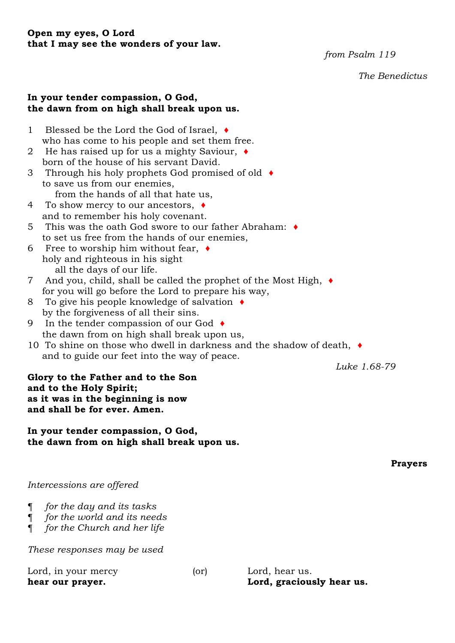#### **Open my eyes, O Lord that I may see the wonders of your law.**

*from Psalm 119*

*The Benedictus*

#### **In your tender compassion, O God, the dawn from on high shall break upon us.**

- 1 Blessed be the Lord the God of Israel, ♦ who has come to his people and set them free.
- 2 He has raised up for us a mighty Saviour, ♦ born of the house of his servant David.
- 3 Through his holy prophets God promised of old ♦ to save us from our enemies, from the hands of all that hate us,
- 4 To show mercy to our ancestors, ♦ and to remember his holy covenant.
- 5 This was the oath God swore to our father Abraham: ♦ to set us free from the hands of our enemies,
- 6 Free to worship him without fear,  $\bullet$ holy and righteous in his sight all the days of our life.
- 7 And you, child, shall be called the prophet of the Most High, ♦ for you will go before the Lord to prepare his way,
- 8 To give his people knowledge of salvation ♦ by the forgiveness of all their sins.
- 9 In the tender compassion of our God ♦ the dawn from on high shall break upon us,
- 10 To shine on those who dwell in darkness and the shadow of death, ♦ and to guide our feet into the way of peace.

*Luke 1.68-79*

## **Glory to the Father and to the Son and to the Holy Spirit; as it was in the beginning is now and shall be for ever. Amen.**

**In your tender compassion, O God, the dawn from on high shall break upon us.**

**Prayers**

*Intercessions are offered*

- ¶ *for the day and its tasks*
- ¶ *for the world and its needs*
- ¶ *for the Church and her life*

*These responses may be used*

Lord, in your mercy (or) Lord, hear us. **hear our prayer. Lord, graciously hear us.**